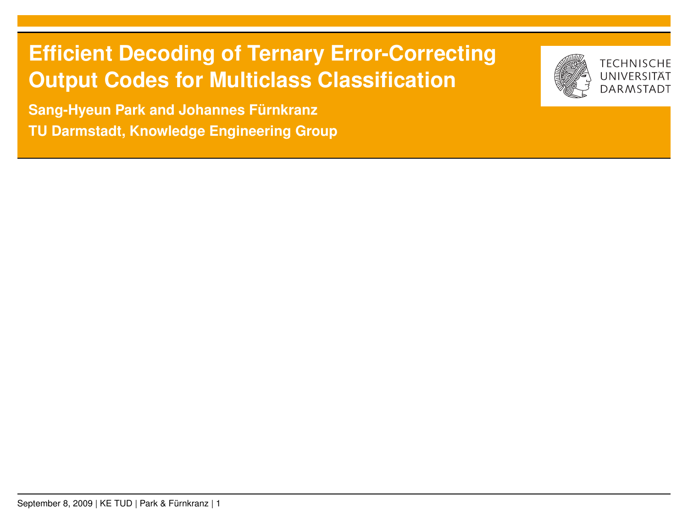## **Efficient Decoding of Ternary Error-Correcting Output Codes for Multiclass Classification**

**TECHNISCHE** 

**Sang-Hyeun Park and Johannes Fürnkranz TU Darmstadt, Knowledge Engineering Group**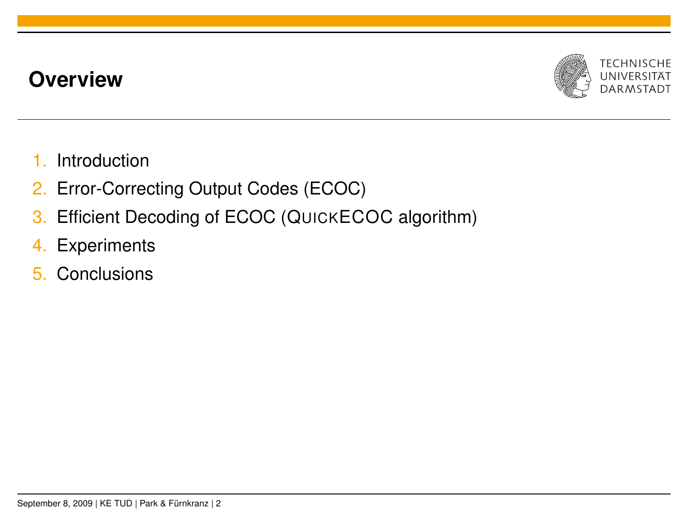## **Overview**



- 1. Introduction
- 2. Error-Correcting Output Codes (ECOC)
- 3. Efficient Decoding of ECOC (QUICKECOC algorithm)
- 4. Experiments
- 5. Conclusions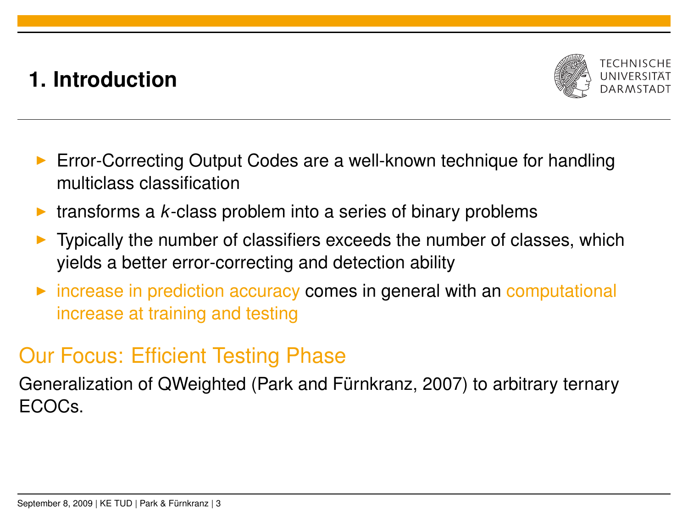## **1. Introduction**



- $\triangleright$  Error-Correcting Output Codes are a well-known technique for handling multiclass classification
- $\triangleright$  transforms a *k*-class problem into a series of binary problems
- <sup>I</sup> Typically the number of classifiers exceeds the number of classes, which yields a better error-correcting and detection ability
- $\triangleright$  increase in prediction accuracy comes in general with an computational increase at training and testing

## Our Focus: Efficient Testing Phase

Generalization of QWeighted (Park and Fürnkranz, 2007) to arbitrary ternary ECOCs.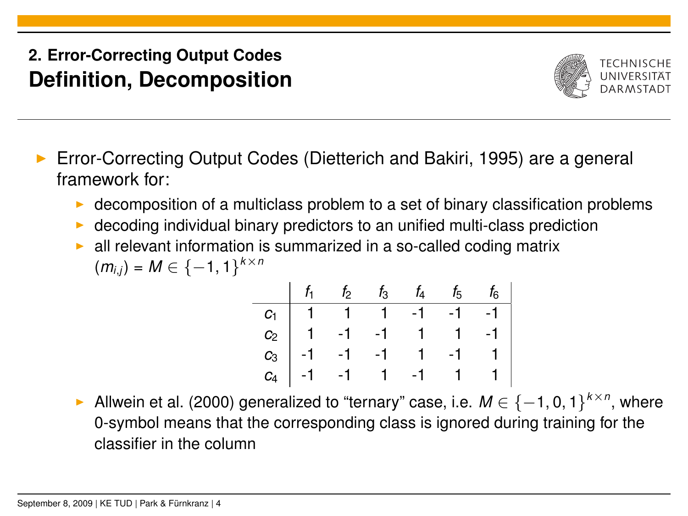#### **2. Error-Correcting Output Codes Definition, Decomposition**



- <sup>I</sup> Error-Correcting Output Codes (Dietterich and Bakiri, 1995) are a general framework for:
	- $\triangleright$  decomposition of a multiclass problem to a set of binary classification problems
	- decoding individual binary predictors to an unified multi-class prediction
	- all relevant information is summarized in a so-called coding matrix *k*×*n*

$$
(m_{i,j})=M\in\{-1,1\}^{k\times}
$$

|  | $f_1$ $f_2$ $f_3$ $f_4$ $f_5$ $f_6$                                                                                                                                           |  |  |
|--|-------------------------------------------------------------------------------------------------------------------------------------------------------------------------------|--|--|
|  |                                                                                                                                                                               |  |  |
|  |                                                                                                                                                                               |  |  |
|  |                                                                                                                                                                               |  |  |
|  | $\begin{array}{c cccccccc} C_1 & 1 & 1 & 1 & -1 & -1 & -1 \\ C_2 & 1 & -1 & -1 & 1 & 1 & -1 \\ C_3 & -1 & -1 & -1 & 1 & -1 & 1 \\ C_4 & -1 & -1 & 1 & -1 & 1 & 1 \end{array}$ |  |  |

**EXECUTE:** Allwein et al. (2000) generalized to "ternary" case, i.e.  $M \in \{-1, 0, 1\}^{k \times n}$ , where 0-symbol means that the corresponding class is ignored during training for the classifier in the column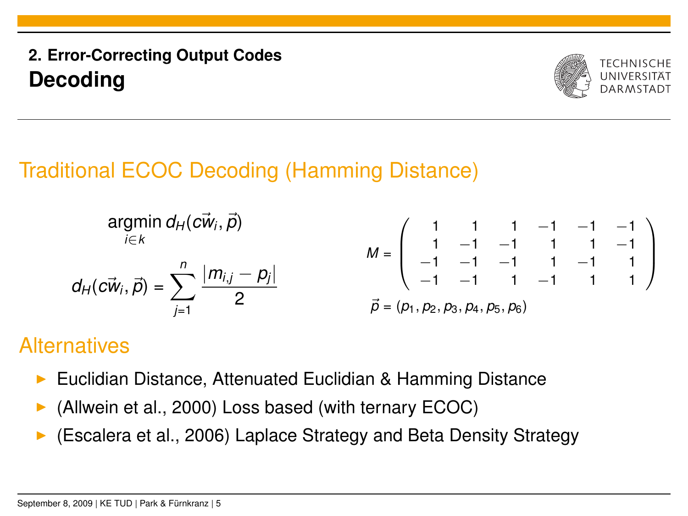## **2. Error-Correcting Output Codes Decoding**



# Traditional ECOC Decoding (Hamming Distance)

$$
\mathsf{argmin}_{i \in k} d_H(c\vec{w}_i, \vec{p})
$$
\n
$$
M = \begin{pmatrix} 1 & 1 & 1 & -1 & -1 & -1 \\ 1 & -1 & -1 & 1 & 1 & -1 \\ -1 & -1 & -1 & 1 & -1 & 1 \\ -1 & -1 & -1 & 1 & -1 & 1 \\ -1 & -1 & 1 & -1 & 1 & 1 \end{pmatrix}
$$
\n
$$
\vec{p} = (p_1, p_2, p_3, p_4, p_5, p_6)
$$

## **Alternatives**

- ▶ Euclidian Distance, Attenuated Euclidian & Hamming Distance
- (Allwein et al., 2000) Loss based (with ternary ECOC)
- (Escalera et al., 2006) Laplace Strategy and Beta Density Strategy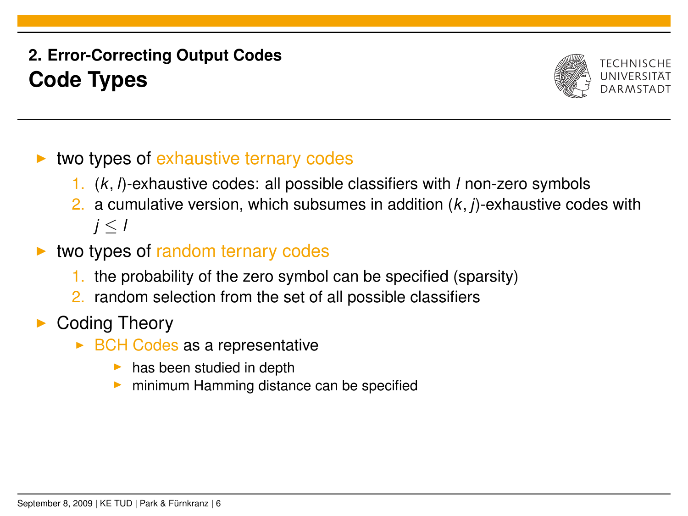#### **2. Error-Correcting Output Codes Code Types**



- two types of exhaustive ternary codes
	- 1. (*k*, *l*)-exhaustive codes: all possible classifiers with *l* non-zero symbols
	- 2. a cumulative version, which subsumes in addition (*k*, *j*)-exhaustive codes with *j* ≤ *l*
- two types of random ternary codes
	- 1. the probability of the zero symbol can be specified (sparsity)
	- 2. random selection from the set of all possible classifiers
- Coding Theory
	- $\triangleright$  BCH Codes as a representative
		- $\blacktriangleright$  has been studied in depth
		- minimum Hamming distance can be specified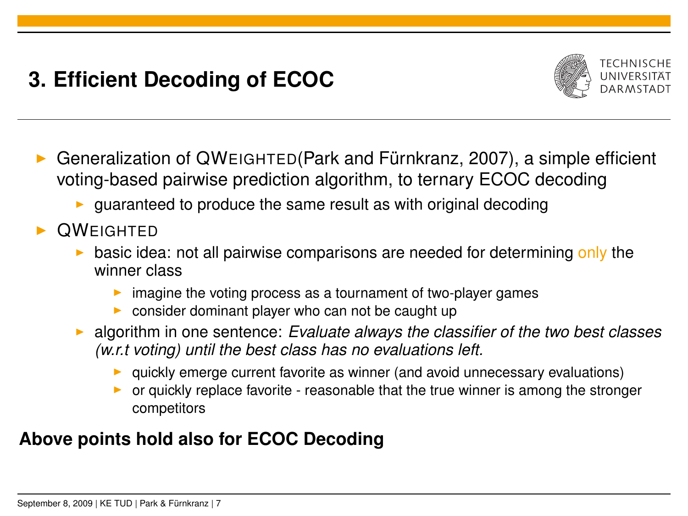# **3. Efficient Decoding of ECOC**



- <sup>I</sup> Generalization of QWEIGHTED(Park and Fürnkranz, 2007), a simple efficient voting-based pairwise prediction algorithm, to ternary ECOC decoding
	- $\triangleright$  guaranteed to produce the same result as with original decoding
- **OWEIGHTED** 
	- basic idea: not all pairwise comparisons are needed for determining only the winner class
		- imagine the voting process as a tournament of two-player games
		- $\triangleright$  consider dominant player who can not be caught up
	- **Example 2** algorithm in one sentence: *Evaluate always the classifier of the two best classes (w.r.t voting) until the best class has no evaluations left.*
		- $\triangleright$  quickly emerge current favorite as winner (and avoid unnecessary evaluations)
		- or quickly replace favorite reasonable that the true winner is among the stronger competitors

#### **Above points hold also for ECOC Decoding**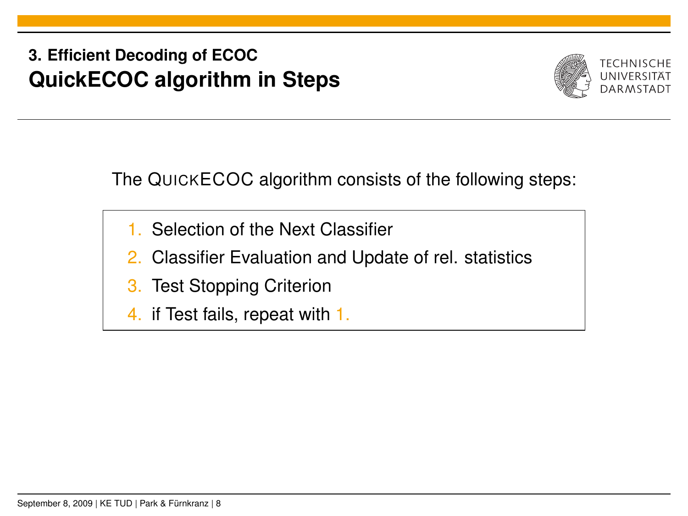## **3. Efficient Decoding of ECOC QuickECOC algorithm in Steps**



The QUICKECOC algorithm consists of the following steps:

- 1. Selection of the Next Classifier
- 2. Classifier Evaluation and Update of rel. statistics
- 3. Test Stopping Criterion
- 4. if Test fails, repeat with 1.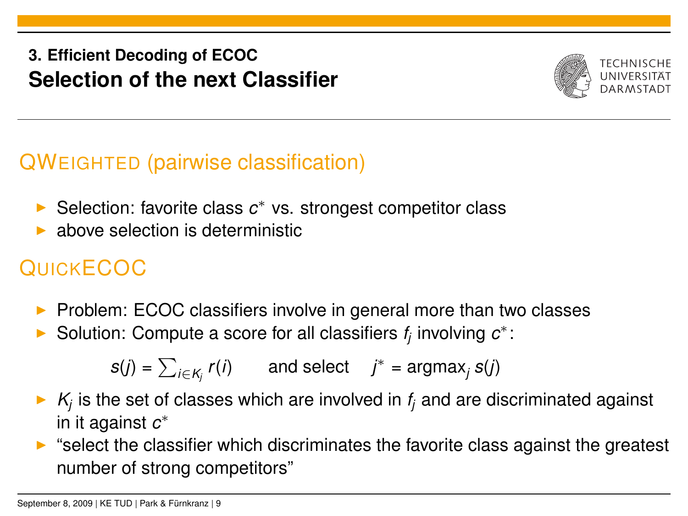#### **3. Efficient Decoding of ECOC Selection of the next Classifier**



## QWEIGHTED (pairwise classification)

- ► Selection: favorite class c<sup>\*</sup> vs. strongest competitor class
- above selection is deterministic

# **QUICKECOC**

- $\triangleright$  Problem: ECOC classifiers involve in general more than two classes
- ► Solution: Compute a score for all classifiers  $f_j$  involving  $c^*$ :

 $s(j) = \sum_{i \in K_j} r(i)$  and select  $j^* = \text{argmax}_j s(j)$ 

- $\triangleright$   $K_j$  is the set of classes which are involved in  $f_j$  and are discriminated against in it against *c* ∗
- $\triangleright$  "select the classifier which discriminates the favorite class against the greatest number of strong competitors"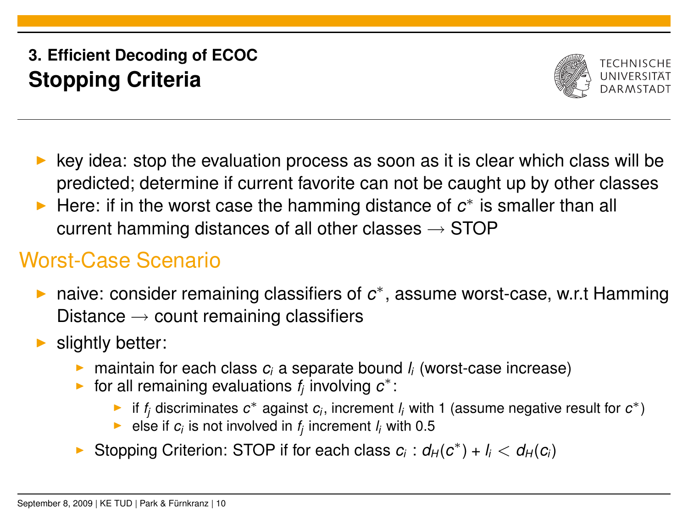## **3. Efficient Decoding of ECOC Stopping Criteria**



- <sup>I</sup> key idea: stop the evaluation process as soon as it is clear which class will be predicted; determine if current favorite can not be caught up by other classes
- ► Here: if in the worst case the hamming distance of  $c^*$  is smaller than all current hamming distances of all other classes  $\rightarrow$  STOP

# Worst-Case Scenario

- ► naive: consider remaining classifiers of  $c^*$ , assume worst-case, w.r.t Hamming Distance  $\rightarrow$  count remaining classifiers
- slightly better:
	- **n** maintain for each class  $c_i$  a separate bound  $l_i$  (worst-case increase)
	- ► for all remaining evaluations  $f_j$  involving  $c^*$ :
		- ► if  $f_j$  discriminates  $c^*$  against  $c_j$ , increment  $l_j$  with 1 (assume negative result for  $c^*$ )
		- ► else if  $c_i$  is not involved in  $f_j$  increment  $l_i$  with 0.5
	- ▶ Stopping Criterion: STOP if for each class  $c_i$  :  $d_H(c^*) + l_i < d_H(c_i)$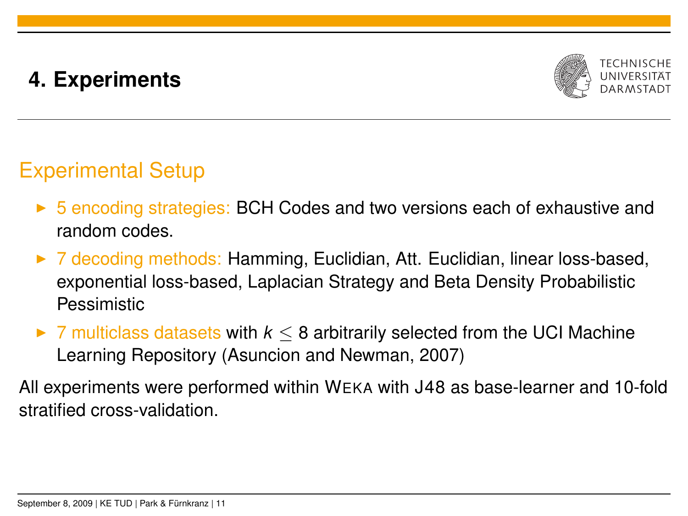# **4. Experiments**



# Experimental Setup

- ► 5 encoding strategies: BCH Codes and two versions each of exhaustive and random codes.
- ► 7 decoding methods: Hamming, Euclidian, Att. Euclidian, linear loss-based, exponential loss-based, Laplacian Strategy and Beta Density Probabilistic **Pessimistic**
- $\triangleright$  7 multiclass datasets with  $k \leq 8$  arbitrarily selected from the UCI Machine Learning Repository (Asuncion and Newman, 2007)

All experiments were performed within WEKA with J48 as base-learner and 10-fold stratified cross-validation.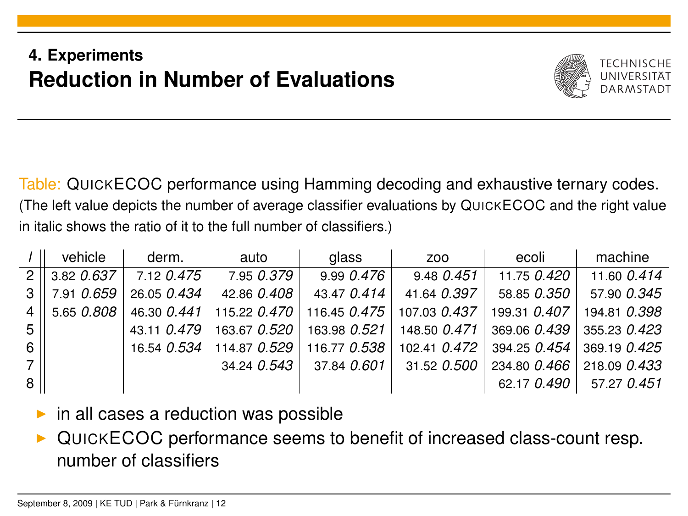## **4. Experiments Reduction in Number of Evaluations**



Table: QUICKECOC performance using Hamming decoding and exhaustive ternary codes. (The left value depicts the number of average classifier evaluations by QUICKECOC and the right value in italic shows the ratio of it to the full number of classifiers.)

|                | vehicle        | derm.       | auto                       | glass                                                    | ZOO          | ecoli                     | machine      |
|----------------|----------------|-------------|----------------------------|----------------------------------------------------------|--------------|---------------------------|--------------|
|                | $2$ 3.82 0.637 | 7.12 0.475  | 7.95 0.379                 | 9.990.476                                                | 9.48 0.451   | 11.75 0.420               | 11.60 0.414  |
| 3 <sup>1</sup> | 7.91 0.659     | 26.05 0.434 | 42.86 0.408                | 43.47 0.414                                              | 41.64 0.397  | 58.85 0.350               | 57.90 0.345  |
| 4 <sup>1</sup> | 15.650.808     |             |                            | 46.30 0.441 115.22 0.470 116.45 0.475                    | 107.03 0.437 | 199.31 0.407              | 194.81 0.398 |
| 5              |                |             |                            | 43.11 0.479   163.67 0.520   163.98 0.521   148.50 0.471 |              | 369.06 0.439              | 355.23 0.423 |
| 6              |                |             | 16.54 0.534   114.87 0.529 | 116.77 0.538                                             |              | 102.41 0.472 394.25 0.454 | 369.19 0.425 |
| 7 <sup>1</sup> |                |             | 34.24 0.543                | 37.84 0.601                                              | 31.52 0.500  | 234.80 0.466              | 218.09 0.433 |
| 8              |                |             |                            |                                                          |              | 62.17 0.490               | 57.27 0.451  |

- in all cases a reduction was possible
- <sup>I</sup> QUICKECOC performance seems to benefit of increased class-count resp. number of classifiers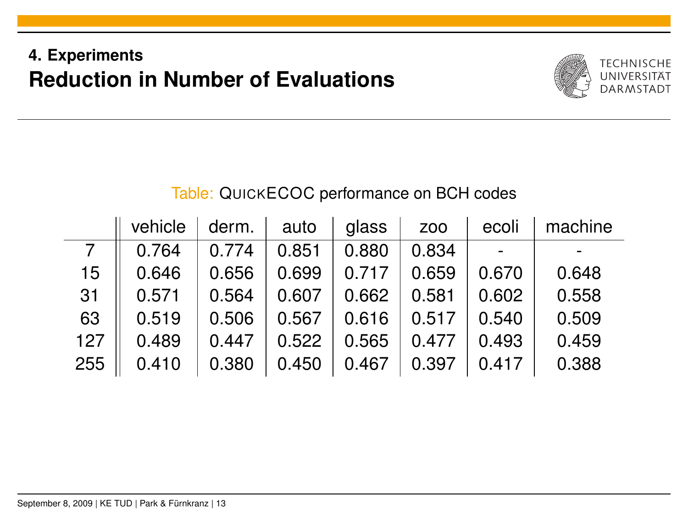## **4. Experiments Reduction in Number of Evaluations**



#### Table: QUICKECOC performance on BCH codes

|     | vehicle | derm. | auto  | glass | Z <sub>00</sub> | ecoli | machine |
|-----|---------|-------|-------|-------|-----------------|-------|---------|
|     | 0.764   | 0.774 | 0.851 | 0.880 | 0.834           |       |         |
| 15  | 0.646   | 0.656 | 0.699 | 0.717 | 0.659           | 0.670 | 0.648   |
| 31  | 0.571   | 0.564 | 0.607 | 0.662 | 0.581           | 0.602 | 0.558   |
| 63  | 0.519   | 0.506 | 0.567 | 0.616 | 0.517           | 0.540 | 0.509   |
| 127 | 0.489   | 0.447 | 0.522 | 0.565 | 0.477           | 0.493 | 0.459   |
| 255 | 0.410   | 0.380 | 0.450 | 0.467 | 0.397           | 0.417 | 0.388   |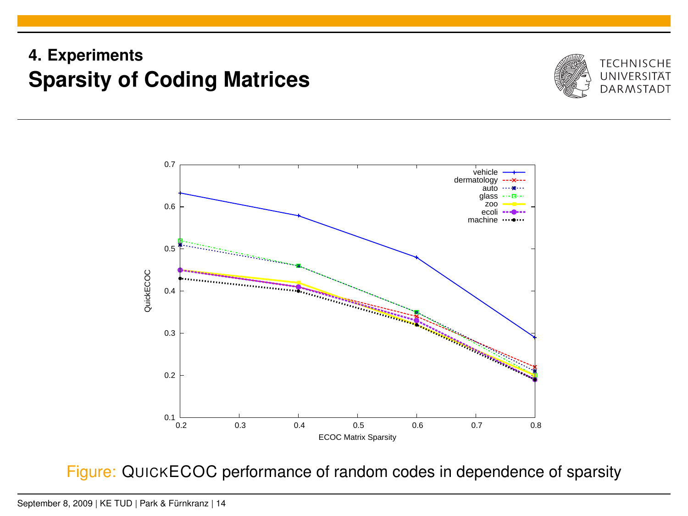## **4. Experiments Sparsity of Coding Matrices**





Figure: QUICKECOC performance of random codes in dependence of sparsity

September 8, 2009 | KE TUD | Park & Fürnkranz | 14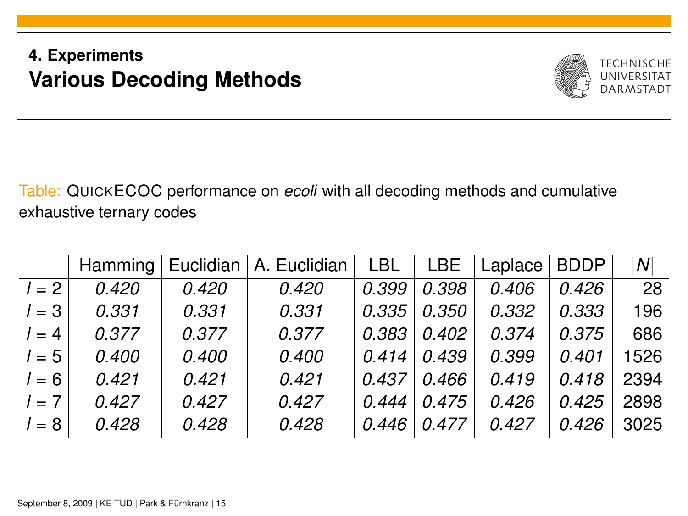## **4. Experiments Various Decoding Methods**



Table: QUICKECOC performance on *ecoli* with all decoding methods and cumulative exhaustive ternary codes

|         |       |       | Hamming   Euclidian   A. Euclidian | LBL   LBE |       | Laplace | <b>BDDP</b> | $\mathcal{N}$ |
|---------|-------|-------|------------------------------------|-----------|-------|---------|-------------|---------------|
| $l = 2$ | 0.420 | 0.420 | 0.420                              | 0.399     | 0.398 | 0.406   | 0.426       | -28           |
| $1 = 3$ | 0.331 | 0.331 | 0.331                              | 0.335     | 0.350 | 0.332   | 0.333       | 196           |
| $l = 4$ | 0.377 | 0.377 | 0.377                              | 0.383     | 0.402 | 0.374   | 0.375       | 686           |
| $l = 5$ | 0.400 | 0.400 | 0.400                              | 0.414     | 0.439 | 0.399   | 0.401       | 1526          |
| $l = 6$ | 0.421 | 0.421 | 0.421                              | 0.437     | 0.466 | 0.419   | 0.418       | 2394          |
| $l = 7$ | 0.427 | 0.427 | 0.427                              | 0.444     | 0.475 | 0.426   | 0.425       | 2898          |
| $1 = 8$ | 0.428 | 0.428 | 0.428                              | 0.446     | 0.477 | 0.427   | 0.426       | 3025          |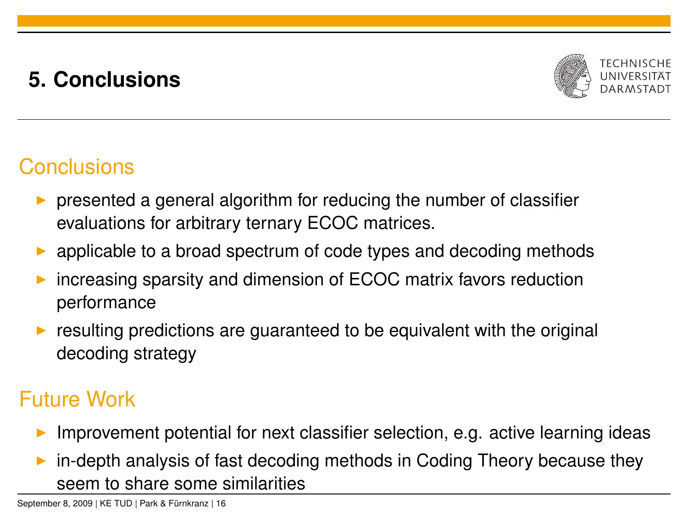# **5. Conclusions**



## **Conclusions**

- presented a general algorithm for reducing the number of classifier evaluations for arbitrary ternary ECOC matrices.
- applicable to a broad spectrum of code types and decoding methods
- increasing sparsity and dimension of ECOC matrix favors reduction performance
- resulting predictions are guaranteed to be equivalent with the original decoding strategy

## Future Work

- Improvement potential for next classifier selection, e.g. active learning ideas
- in-depth analysis of fast decoding methods in Coding Theory because they seem to share some similarities

September 8, 2009 | KE TUD | Park & Fürnkranz | 16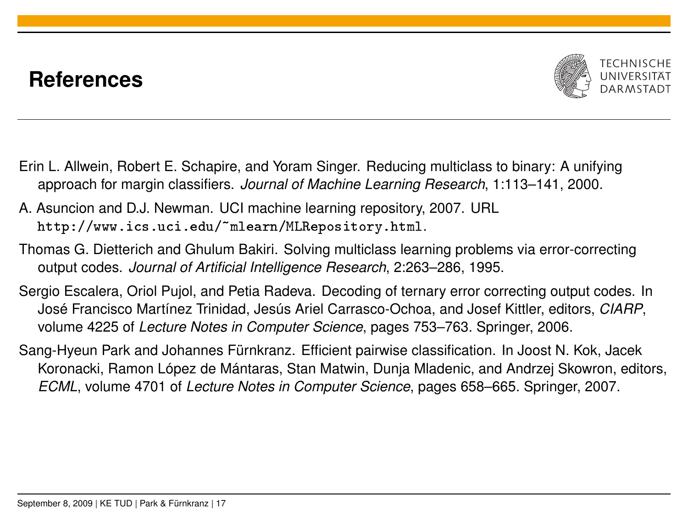## **References**



- Erin L. Allwein, Robert E. Schapire, and Yoram Singer. Reducing multiclass to binary: A unifying approach for margin classifiers. *Journal of Machine Learning Research*, 1:113–141, 2000.
- A. Asuncion and D.J. Newman. UCI machine learning repository, 2007. URL <http://www.ics.uci.edu/~mlearn/MLRepository.html>.
- Thomas G. Dietterich and Ghulum Bakiri. Solving multiclass learning problems via error-correcting output codes. *Journal of Artificial Intelligence Research*, 2:263–286, 1995.
- Sergio Escalera, Oriol Pujol, and Petia Radeva. Decoding of ternary error correcting output codes. In José Francisco Martínez Trinidad, Jesús Ariel Carrasco-Ochoa, and Josef Kittler, editors, *CIARP*, volume 4225 of *Lecture Notes in Computer Science*, pages 753–763. Springer, 2006.
- Sang-Hyeun Park and Johannes Fürnkranz. Efficient pairwise classification. In Joost N. Kok, Jacek Koronacki, Ramon López de Mántaras, Stan Matwin, Dunja Mladenic, and Andrzej Skowron, editors, *ECML*, volume 4701 of *Lecture Notes in Computer Science*, pages 658–665. Springer, 2007.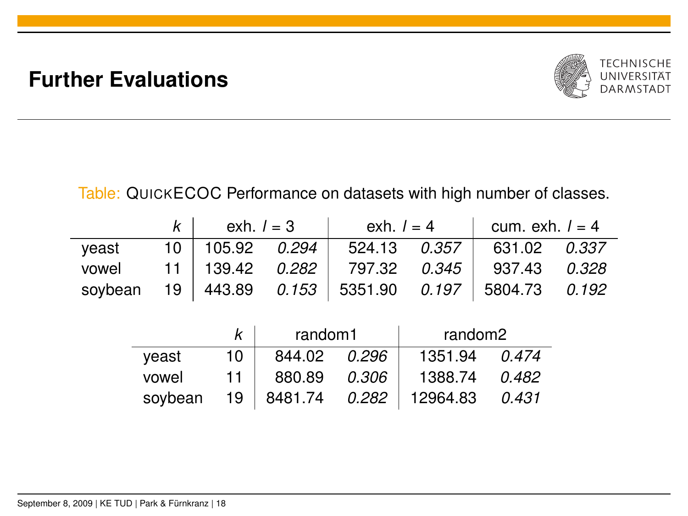## **Further Evaluations**



Table: QUICKECOC Performance on datasets with high number of classes.

|       | $k \mid$ exh. $l = 3$ |  | $\vert$ exh. $\vert = 4$             |  | cum. exh. $l = 4$                                        |  |
|-------|-----------------------|--|--------------------------------------|--|----------------------------------------------------------|--|
| veast | $10$   105.92 0.294   |  | 524.13 0.357                         |  | 631.02 0.337                                             |  |
| vowel |                       |  | 11   139.42 $0.282$   797.32 $0.345$ |  | 937.43 0.328                                             |  |
|       |                       |  |                                      |  | soybean 19 443.89  0.153  5351.90  0.197  5804.73  0.192 |  |

|         |      | random1 |       | random2            |       |
|---------|------|---------|-------|--------------------|-------|
| veast   | 10   | 844.02  | 0.296 | 1351.94            | 0.474 |
| vowel   | 11   | 880.89  | 0.306 | 1388.74            | 0.482 |
| soybean | 19 I | 8481.74 |       | $0.282$   12964.83 | 0.431 |